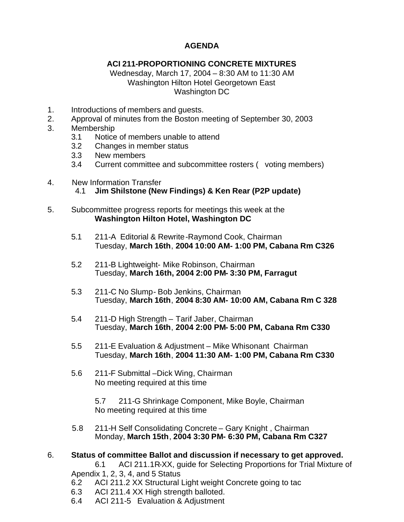## **AGENDA**

## **ACI 211-PROPORTIONING CONCRETE MIXTURES**

Wednesday, March 17, 2004 – 8:30 AM to 11:30 AM Washington Hilton Hotel Georgetown East Washington DC

- 1. Introductions of members and guests.
- 2. Approval of minutes from the Boston meeting of September 30, 2003
- 3. Membership
	- 3.1 Notice of members unable to attend
	- 3.2 Changes in member status
	- 3.3 New members
	- 3.4 Current committee and subcommittee rosters ( voting members)
- 4. New Information Transfer 4.1 **Jim Shilstone (New Findings) & Ken Rear (P2P update)**
- 5. Subcommittee progress reports for meetings this week at the  **Washington Hilton Hotel, Washington DC**
	- 5.1 211-A Editorial & Rewrite-Raymond Cook, Chairman Tuesday, **March 16th**, **2004 10:00 AM- 1:00 PM, Cabana Rm C326**
	- 5.2 211-B Lightweight- Mike Robinson, Chairman Tuesday, **March 16th, 2004 2:00 PM- 3:30 PM, Farragut**
	- 5.3 211-C No Slump- Bob Jenkins, Chairman Tuesday, **March 16th**, **2004 8:30 AM- 10:00 AM, Cabana Rm C 328**
	- 5.4 211-D High Strength Tarif Jaber, Chairman Tuesday, **March 16th**, **2004 2:00 PM- 5:00 PM, Cabana Rm C330**
	- 5.5 211-E Evaluation & Adjustment Mike Whisonant Chairman Tuesday, **March 16th**, **2004 11:30 AM- 1:00 PM, Cabana Rm C330**
	- 5.6 211-F Submittal –Dick Wing, Chairman No meeting required at this time

 5.7 211-G Shrinkage Component, Mike Boyle, Chairman No meeting required at this time

 5.8 211-H Self Consolidating Concrete – Gary Knight , Chairman Monday, **March 15th**, **2004 3:30 PM- 6:30 PM, Cabana Rm C327**

## 6. **Status of committee Ballot and discussion if necessary to get approved.**

6.1 ACI 211.1R-XX, guide for Selecting Proportions for Trial Mixture of Apendix 1, 2, 3, 4, and 5 Status

- 6.2 ACI 211.2 XX Structural Light weight Concrete going to tac
- 6.3 ACI 211.4 XX High strength balloted.
- 6.4 ACI 211-5 Evaluation & Adjustment